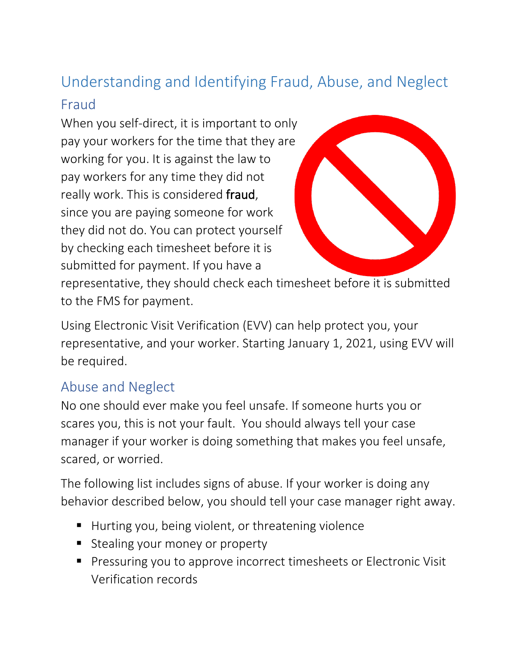## Understanding and Identifying Fraud, Abuse, and Neglect Fraud

When you self-direct, it is important to only pay your workers for the time that they are working for you. It is against the law to pay workers for any time they did not really work. This is considered fraud, since you are paying someone for work they did not do. You can protect yourself by checking each timesheet before it is submitted for payment. If you have a



representative, they should check each timesheet before it is submitted to the FMS for payment.

Using Electronic Visit Verification (EVV) can help protect you, your representative, and your worker. Starting January 1, 2021, using EVV will be required.

## Abuse and Neglect

No one should ever make you feel unsafe. If someone hurts you or scares you, this is not your fault. You should always tell your case manager if your worker is doing something that makes you feel unsafe, scared, or worried.

The following list includes signs of abuse. If your worker is doing any behavior described below, you should tell your case manager right away.

- Hurting you, being violent, or threatening violence
- Stealing your money or property
- Pressuring you to approve incorrect timesheets or Electronic Visit Verification records